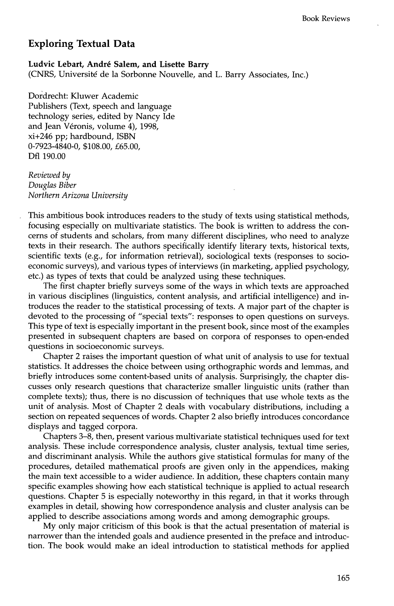## **Exploring Textual Data**

Ludvic Lebart, André Salem, and Lisette Barry (CNRS, Université de la Sorbonne Nouvelle, and L. Barry Associates, Inc.)

Dordrecht: Kluwer Academic Publishers (Text, speech and language technology series, edited by Nancy Ide and Jean Véronis, volume 4), 1998, xi+246 pp; hardbound, ISBN 0-7923-4840-0, \$108.00, £65.00, Dfl 190.00

*Reviewed by Douglas Biber Northern Arizona University* 

This ambitious book introduces readers to the study of texts using statistical methods, focusing especially on multivariate statistics. The book is written to address the concerns of students and scholars, from many different disciplines, who need to analyze texts in their research. The authors specifically identify literary texts, historical texts, scientific texts (e.g., for information retrieval), sociological texts (responses to socioeconomic surveys), and various types of interviews (in marketing, applied psychology, etc.) as types of texts that could be analyzed using these techniques.

The first chapter briefly surveys some of the ways in which texts are approached in various disciplines (linguistics, content analysis, and artificial intelligence) and introduces the reader to the statistical processing of texts. A major part of the chapter is devoted to the processing of "special texts": responses to open questions on surveys. This type of text is especially important in the present book, since most of the examples presented in subsequent chapters are based on corpora of responses to open-ended questions in socioeconomic surveys.

Chapter 2 raises the important question of what unit of analysis to use for textual statistics. It addresses the choice between using orthographic words and lemmas, and briefly introduces some content-based units of analysis. Surprisingly, the chapter discusses only research questions that characterize smaller linguistic units (rather than complete texts); thus, there is no discussion of techniques that use whole texts as the unit of analysis. Most of Chapter 2 deals with vocabulary distributions, including a section on repeated sequences of words. Chapter 2 also briefly introduces concordance displays and tagged corpora.

Chapters 3-8, then, present various multivariate statistical techniques used for text analysis. These include correspondence analysis, cluster analysis, textual time series, and discriminant analysis. While the authors give statistical formulas for many of the procedures, detailed mathematical proofs are given only in the appendices, making the main text accessible to a wider audience. In addition, these chapters contain many specific examples showing how each statistical technique is applied to actual research questions. Chapter 5 is especially noteworthy in this regard, in that it works through examples in detail, showing how correspondence analysis and cluster analysis can be applied to describe associations among words and among demographic groups.

My only major criticism of this book is that the actual presentation of material is narrower than the intended goals and audience presented in the preface and introduction. The book would make an ideal introduction to statistical methods for applied